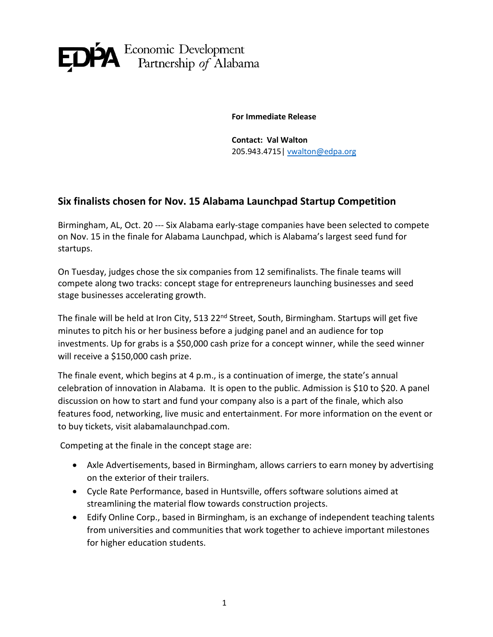

**For Immediate Release**

**Contact: Val Walton** 205.943.4715| [vwalton@edpa.org](mailto:vwalton@edpa.org)

## **Six finalists chosen for Nov. 15 Alabama Launchpad Startup Competition**

Birmingham, AL, Oct. 20 --- Six Alabama early-stage companies have been selected to compete on Nov. 15 in the finale for Alabama Launchpad, which is Alabama's largest seed fund for startups.

On Tuesday, judges chose the six companies from 12 semifinalists. The finale teams will compete along two tracks: concept stage for entrepreneurs launching businesses and seed stage businesses accelerating growth.

The finale will be held at Iron City, 513 22<sup>nd</sup> Street, South, Birmingham. Startups will get five minutes to pitch his or her business before a judging panel and an audience for top investments. Up for grabs is a \$50,000 cash prize for a concept winner, while the seed winner will receive a \$150,000 cash prize.

The finale event, which begins at 4 p.m., is a continuation of imerge, the state's annual celebration of innovation in Alabama. It is open to the public. Admission is \$10 to \$20. A panel discussion on how to start and fund your company also is a part of the finale, which also features food, networking, live music and entertainment. For more information on the event or to buy tickets, visit alabamalaunchpad.com.

Competing at the finale in the concept stage are:

- Axle Advertisements, based in Birmingham, allows carriers to earn money by advertising on the exterior of their trailers.
- Cycle Rate Performance, based in Huntsville, offers software solutions aimed at streamlining the material flow towards construction projects.
- Edify Online Corp., based in Birmingham, is an exchange of independent teaching talents from universities and communities that work together to achieve important milestones for higher education students.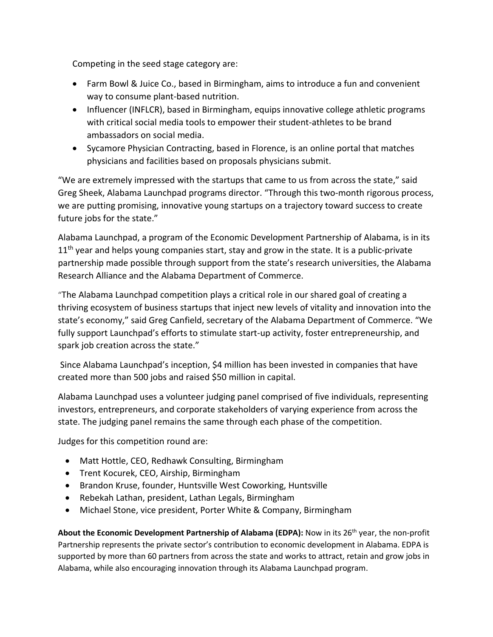Competing in the seed stage category are:

- Farm Bowl & Juice Co., based in Birmingham, aims to introduce a fun and convenient way to consume plant-based nutrition.
- Influencer (INFLCR), based in Birmingham, equips innovative college athletic programs with critical social media tools to empower their student-athletes to be brand ambassadors on social media.
- Sycamore Physician Contracting, based in Florence, is an online portal that matches physicians and facilities based on proposals physicians submit.

"We are extremely impressed with the startups that came to us from across the state," said Greg Sheek, Alabama Launchpad programs director. "Through this two-month rigorous process, we are putting promising, innovative young startups on a trajectory toward success to create future jobs for the state."

Alabama Launchpad, a program of the Economic Development Partnership of Alabama, is in its 11<sup>th</sup> year and helps young companies start, stay and grow in the state. It is a public-private partnership made possible through support from the state's research universities, the Alabama Research Alliance and the Alabama Department of Commerce.

"The Alabama Launchpad competition plays a critical role in our shared goal of creating a thriving ecosystem of business startups that inject new levels of vitality and innovation into the state's economy," said Greg Canfield, secretary of the Alabama Department of Commerce. "We fully support Launchpad's efforts to stimulate start-up activity, foster entrepreneurship, and spark job creation across the state."

Since Alabama Launchpad's inception, \$4 million has been invested in companies that have created more than 500 jobs and raised \$50 million in capital.

Alabama Launchpad uses a volunteer judging panel comprised of five individuals, representing investors, entrepreneurs, and corporate stakeholders of varying experience from across the state. The judging panel remains the same through each phase of the competition.

Judges for this competition round are:

- Matt Hottle, CEO, Redhawk Consulting, Birmingham
- Trent Kocurek, CEO, Airship, Birmingham
- Brandon Kruse, founder, Huntsville West Coworking, Huntsville
- Rebekah Lathan, president, Lathan Legals, Birmingham
- Michael Stone, vice president, Porter White & Company, Birmingham

**About the Economic Development Partnership of Alabama (EDPA):** Now in its 26<sup>th</sup> year, the non-profit Partnership represents the private sector's contribution to economic development in Alabama. EDPA is supported by more than 60 partners from across the state and works to attract, retain and grow jobs in Alabama, while also encouraging innovation through its Alabama Launchpad program.